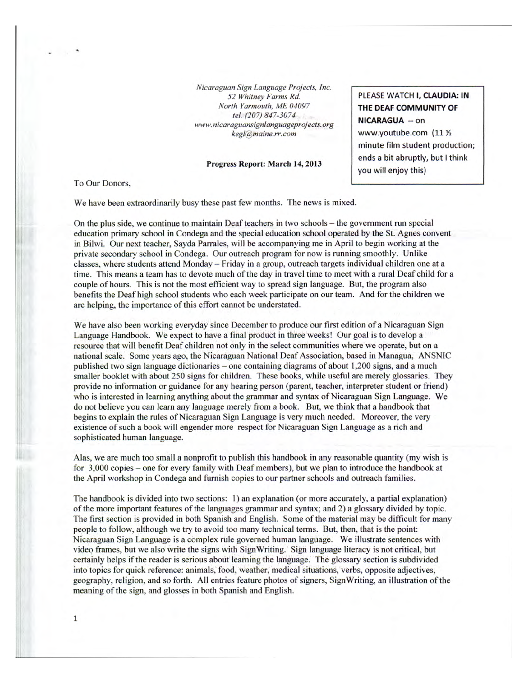Nicaraguan Sign Language Projects, Inc. 52 Whitney Farms Rd. North Yarmouth, ME 04097 tel. (207) 847-3074 www.nicaraguansignlanguageprojects.org  $keel@maine.rr.com$ 

## Progress Report: March 14,2013

To Our Donors,

We have been extraordinarily busy these past few months. The news is mixed.

On the plus side, we continue to maintain Deaf teachers in two schools – the government run special education primary school in Condega and the special education school operated by the St. Agnes convent in Bilwi. Our next teacher, Sayda Parrales, will be accompanying me in April to begin working at the private secondary school in Condega. Our outreach program for now is running smoothly. Unlike classes, where students attend Monday - Friday in a group, outreach targets individual children one at a time. This means a team has to devote much of the day in travel time to meet with a rural Deaf child for a couple of hours. This is not the most efficient way to spread sign language. But, the program also benefits the Deaf high school students who each week participate on our team. And for the children we are helping, the importance of this effort cannot be understated.

We have also been working everyday since December to produce our first edition of a Nicaraguan Sign Language Handbook. We expect to have a final product in three weeks! Our goal is to develop a resource that will benefit Deaf children not only in the select communities where we operate, but on a national scale. Some years ago, the Nicaraguan National Deaf Association, based in Managua, ANSNIC published two sign language dictionaries – one containing diagrams of about 1,200 signs, and a much smaller booklet with about 250 signs for children. These books, while useful are merely glossaries. They provide no information or guidance for any hearing person (parent, teacher, interpreter student or friend) who is interested in learning anything about the grammar and syntax of Nicaraguan Sign Language. We do not believe you can learn any language merely from a book. But, we think that a handbook that begins to explain the rules of Nicaraguan Sign Language is very much needed. Moreover, the very existence of such a book will engender more respect for Nicaraguan Sign Language as a rich and sophisticated human language.

Alas, we are much too small a nonprofit to publish this handbook in any reasonable quantity (my wish is for 3,000 copies – one for every family with Deaf members), but we plan to introduce the handbook at the April workshop in Condega and furnish copies to our partner schools and outreach families.

The handbook is divided into two sections: 1) an explanation (or more accurately, a partial explanation) of the more important features of the languages grammar and syntax; and 2) a glossary divided by topic. The first section is provided in both Spanish and English. Some of the material may be difficult for many people to follow, although we try to avoid too many technical terms. But, then, that is the point: Nicaraguan Sign Language is a complex rule governed human language. We illustrate sentences with video frames, but we also write the signs with Sign Writing. Sign language literacy is not critical, but certainly helps if the reader is serious about learning the language. The glossary section is subdivided into topics for quick reference: animals, food, weather, medical situations, verbs, opposite adjectives, geography, religion, and so forth. All entries feature photos of signers. Sign Writing, an illustration of the meaning of the sign, and glosses in both Spanish and English.

PLEASE WATCH I, CLAUDIA: IN THE DEAF COMMUNITY OF **NICARAGUA -- on** www.youtube.com (11 % minute film student production; ends a bit abruptly, but I think you will enjoy this)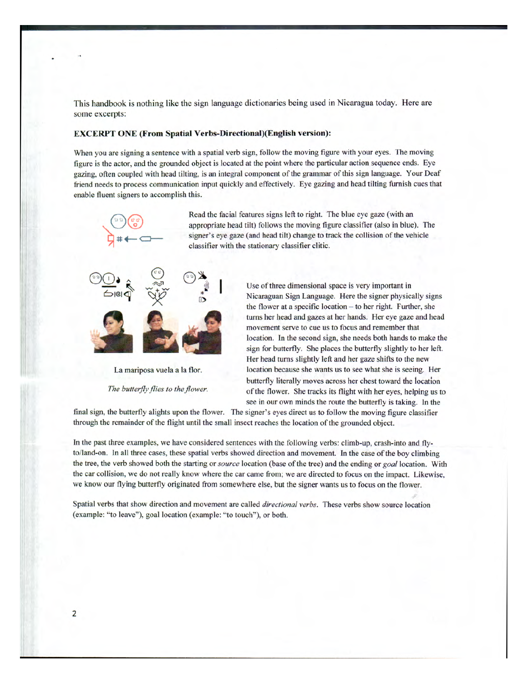This handbook is nothing like the sign language dictionaries being used in Nicaragua today. Here are some excerpts:

## EXCERPT ONE (From Spatial Verbs-Directional)(English version):

When you are signing a sentence with a spatial verb sign, follow the moving figure with your eyes. The moving figure is the actor, and the grounded object is located at the point where the particular action sequence ends. Eye gazing, often coupled with head tilting, is an integral component of the grammar of this sign language. Your Deaf friend needs to process communication input quickly and effectively. Eye gazing and head tilting furnish cues that enable fluent signers to accomplish this.

> Read the facial features signs left to right. The blue eye gaze (with an appropriate head tilt) follows the moving figure classifier (also in blue). The signer's eye gaze (and head tilt) change to track the collision of the vehicle classifier with the stationary classifier clitic.



 $\overrightarrow{P}$ 

Use of three dimensional space is very important in Nicaraguan Sign Language. Here the signer physically signs the flower at a specific location - to her right. Further, she turns her head and gazes at her hands. Her eye gaze and head movement serve to cue us to focus and remember that location. In the second sign, she needs both hands to make the sign for butterfly. She places the butterfly slightly to her left. Her head turns slightly left and her gaze shifts to the new La mariposa vuela a la flor. location because she wants us to see what she is seeing. Her butterfly literally moves across her chest toward the location The butterfly flies to the flower. of the flower. She tracks its flight with her eyes, helping us to see in our own minds the route the butterfly is taking. In the

final sign, the butterfly alights upon the flower. The signer's eyes direct us to follow the moving figure classifier through the remamder of the flight until the small insect reaches the location of the grounded object.

In the past three examples, we have considered sentences with the following verbs: climb-up, crash-into and flyto/land-on. In all three cases, these spatial verbs showed direction and movement. In the case of the boy climbing the tree, the verb showed both the starting or source location (base of the tree) and the ending or goal location. With the car collision, we do not really know where the car came from; we are directed to focus on the impact. Likewise, we know our flying butterfly originated from somewhere else, but the signer wants us to focus on the flower.

Spatial verbs that show direction and movement are called *directional verbs*. These verbs show source location (example: "to leave"), goal location (example: "to touch"'), or both.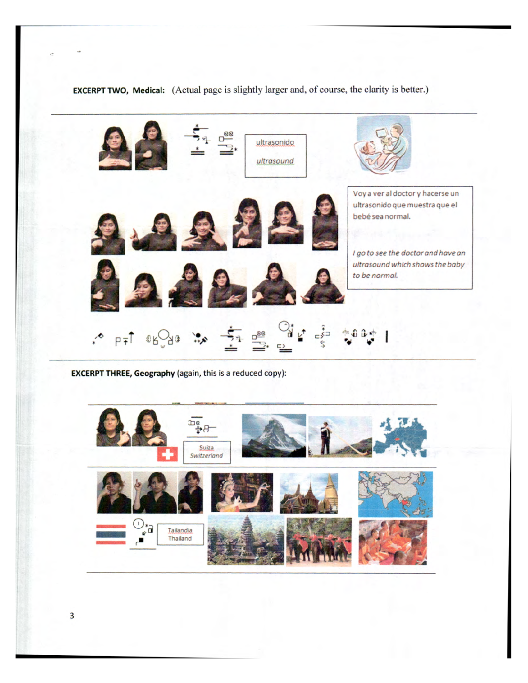EXCERPT TWO, Medical: (Actual page is slightly larger and, of course, the clarity is better.)



EXCERPT THREE, Geography (again, this is a reduced copy):